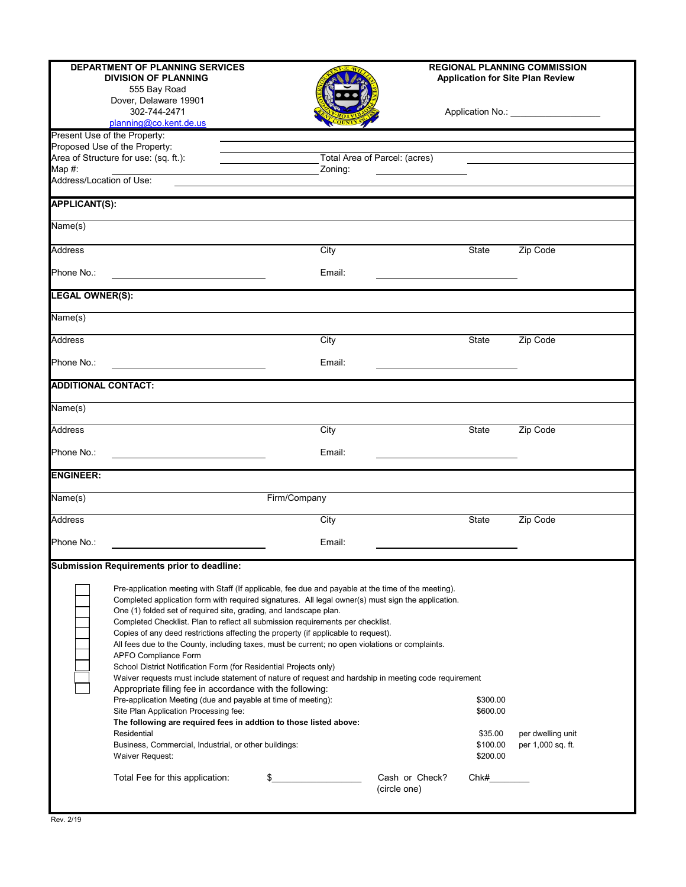|                              | <b>DEPARTMENT OF PLANNING SERVICES</b><br><b>DIVISION OF PLANNING</b><br>555 Bay Road<br>Dover, Delaware 19901                                                                                                                                                                                                                                                                                                                                                                                                                                                                                                                                                                                                                                                                                                                                                                                                                                                                                             |                               |                                |                                 | <b>REGIONAL PLANNING COMMISSION</b><br><b>Application for Site Plan Review</b> |
|------------------------------|------------------------------------------------------------------------------------------------------------------------------------------------------------------------------------------------------------------------------------------------------------------------------------------------------------------------------------------------------------------------------------------------------------------------------------------------------------------------------------------------------------------------------------------------------------------------------------------------------------------------------------------------------------------------------------------------------------------------------------------------------------------------------------------------------------------------------------------------------------------------------------------------------------------------------------------------------------------------------------------------------------|-------------------------------|--------------------------------|---------------------------------|--------------------------------------------------------------------------------|
|                              | 302-744-2471<br>planning@co.kent.de.us                                                                                                                                                                                                                                                                                                                                                                                                                                                                                                                                                                                                                                                                                                                                                                                                                                                                                                                                                                     |                               |                                |                                 | Application No.: _____________________                                         |
| Present Use of the Property: |                                                                                                                                                                                                                                                                                                                                                                                                                                                                                                                                                                                                                                                                                                                                                                                                                                                                                                                                                                                                            |                               |                                |                                 |                                                                                |
|                              | Proposed Use of the Property:<br>Area of Structure for use: (sq. ft.):                                                                                                                                                                                                                                                                                                                                                                                                                                                                                                                                                                                                                                                                                                                                                                                                                                                                                                                                     | Total Area of Parcel: (acres) |                                |                                 |                                                                                |
| Map $#$ :                    |                                                                                                                                                                                                                                                                                                                                                                                                                                                                                                                                                                                                                                                                                                                                                                                                                                                                                                                                                                                                            | Zoning:                       |                                |                                 |                                                                                |
| Address/Location of Use:     |                                                                                                                                                                                                                                                                                                                                                                                                                                                                                                                                                                                                                                                                                                                                                                                                                                                                                                                                                                                                            |                               |                                |                                 |                                                                                |
| <b>APPLICANT(S):</b>         |                                                                                                                                                                                                                                                                                                                                                                                                                                                                                                                                                                                                                                                                                                                                                                                                                                                                                                                                                                                                            |                               |                                |                                 |                                                                                |
| Name(s)                      |                                                                                                                                                                                                                                                                                                                                                                                                                                                                                                                                                                                                                                                                                                                                                                                                                                                                                                                                                                                                            |                               |                                |                                 |                                                                                |
| <b>Address</b>               |                                                                                                                                                                                                                                                                                                                                                                                                                                                                                                                                                                                                                                                                                                                                                                                                                                                                                                                                                                                                            | City                          |                                | <b>State</b>                    | Zip Code                                                                       |
| Phone No.:                   |                                                                                                                                                                                                                                                                                                                                                                                                                                                                                                                                                                                                                                                                                                                                                                                                                                                                                                                                                                                                            | Email:                        |                                |                                 |                                                                                |
| <b>LEGAL OWNER(S):</b>       |                                                                                                                                                                                                                                                                                                                                                                                                                                                                                                                                                                                                                                                                                                                                                                                                                                                                                                                                                                                                            |                               |                                |                                 |                                                                                |
| Name(s)                      |                                                                                                                                                                                                                                                                                                                                                                                                                                                                                                                                                                                                                                                                                                                                                                                                                                                                                                                                                                                                            |                               |                                |                                 |                                                                                |
| <b>Address</b>               |                                                                                                                                                                                                                                                                                                                                                                                                                                                                                                                                                                                                                                                                                                                                                                                                                                                                                                                                                                                                            | City                          |                                | State                           | Zip Code                                                                       |
| Phone No.:                   |                                                                                                                                                                                                                                                                                                                                                                                                                                                                                                                                                                                                                                                                                                                                                                                                                                                                                                                                                                                                            | Email:                        |                                |                                 |                                                                                |
| <b>ADDITIONAL CONTACT:</b>   |                                                                                                                                                                                                                                                                                                                                                                                                                                                                                                                                                                                                                                                                                                                                                                                                                                                                                                                                                                                                            |                               |                                |                                 |                                                                                |
| Name(s)                      |                                                                                                                                                                                                                                                                                                                                                                                                                                                                                                                                                                                                                                                                                                                                                                                                                                                                                                                                                                                                            |                               |                                |                                 |                                                                                |
| <b>Address</b>               |                                                                                                                                                                                                                                                                                                                                                                                                                                                                                                                                                                                                                                                                                                                                                                                                                                                                                                                                                                                                            | City                          |                                | State                           | Zip Code                                                                       |
| Phone No.:                   |                                                                                                                                                                                                                                                                                                                                                                                                                                                                                                                                                                                                                                                                                                                                                                                                                                                                                                                                                                                                            | Email:                        |                                |                                 |                                                                                |
| <b>ENGINEER:</b>             |                                                                                                                                                                                                                                                                                                                                                                                                                                                                                                                                                                                                                                                                                                                                                                                                                                                                                                                                                                                                            |                               |                                |                                 |                                                                                |
| Name(s)                      |                                                                                                                                                                                                                                                                                                                                                                                                                                                                                                                                                                                                                                                                                                                                                                                                                                                                                                                                                                                                            | Firm/Company                  |                                |                                 |                                                                                |
| <b>Address</b>               |                                                                                                                                                                                                                                                                                                                                                                                                                                                                                                                                                                                                                                                                                                                                                                                                                                                                                                                                                                                                            | City                          |                                | State                           | Zip Code                                                                       |
| Phone No.:                   |                                                                                                                                                                                                                                                                                                                                                                                                                                                                                                                                                                                                                                                                                                                                                                                                                                                                                                                                                                                                            | Email:                        |                                |                                 |                                                                                |
|                              | <b>Submission Requirements prior to deadline:</b>                                                                                                                                                                                                                                                                                                                                                                                                                                                                                                                                                                                                                                                                                                                                                                                                                                                                                                                                                          |                               |                                |                                 |                                                                                |
|                              | Pre-application meeting with Staff (If applicable, fee due and payable at the time of the meeting).<br>Completed application form with required signatures. All legal owner(s) must sign the application.<br>One (1) folded set of required site, grading, and landscape plan.<br>Completed Checklist. Plan to reflect all submission requirements per checklist.<br>Copies of any deed restrictions affecting the property (if applicable to request).<br>All fees due to the County, including taxes, must be current; no open violations or complaints.<br>APFO Compliance Form<br>School District Notification Form (for Residential Projects only)<br>Waiver requests must include statement of nature of request and hardship in meeting code requirement<br>Appropriate filing fee in accordance with the following:<br>Pre-application Meeting (due and payable at time of meeting):<br>Site Plan Application Processing fee:<br>The following are required fees in addtion to those listed above: |                               |                                | \$300.00<br>\$600.00            |                                                                                |
|                              | Residential<br>Business, Commercial, Industrial, or other buildings:<br>Waiver Request:                                                                                                                                                                                                                                                                                                                                                                                                                                                                                                                                                                                                                                                                                                                                                                                                                                                                                                                    |                               |                                | \$35.00<br>\$100.00<br>\$200.00 | per dwelling unit<br>per 1,000 sq. ft.                                         |
|                              | Total Fee for this application:                                                                                                                                                                                                                                                                                                                                                                                                                                                                                                                                                                                                                                                                                                                                                                                                                                                                                                                                                                            | \$                            | Cash or Check?<br>(circle one) | Chk#                            |                                                                                |
|                              |                                                                                                                                                                                                                                                                                                                                                                                                                                                                                                                                                                                                                                                                                                                                                                                                                                                                                                                                                                                                            |                               |                                |                                 |                                                                                |